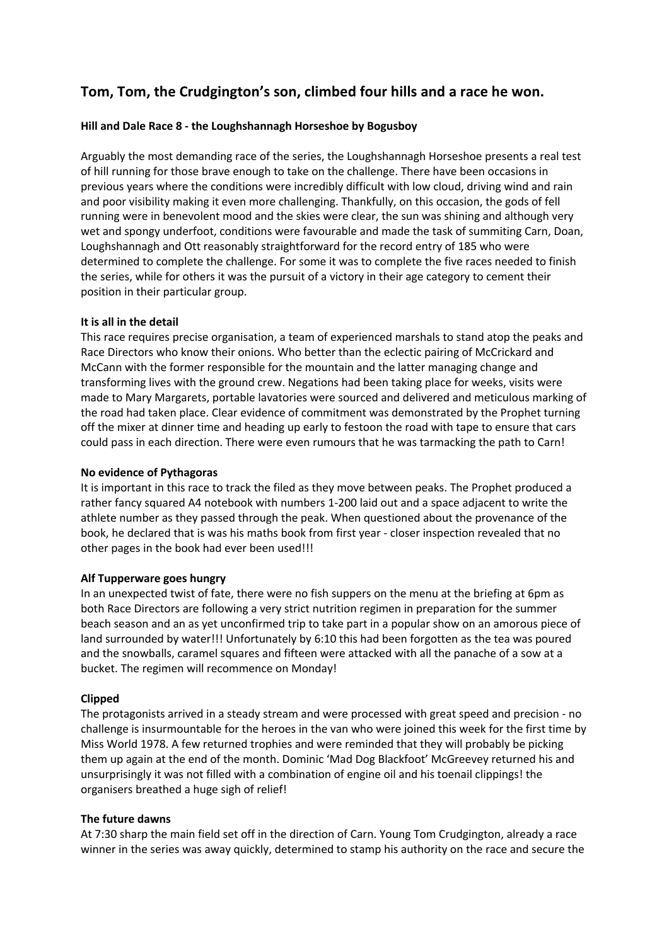# **Tom, Tom, the Crudgington's son, climbed four hills and a race he won.**

# **Hill and Dale Race 8 - the Loughshannagh Horseshoe by Bogusboy**

Arguably the most demanding race of the series, the Loughshannagh Horseshoe presents a real test of hill running for those brave enough to take on the challenge. There have been occasions in previous years where the conditions were incredibly difficult with low cloud, driving wind and rain and poor visibility making it even more challenging. Thankfully, on this occasion, the gods of fell running were in benevolent mood and the skies were clear, the sun was shining and although very wet and spongy underfoot, conditions were favourable and made the task of summiting Carn, Doan, Loughshannagh and Ott reasonably straightforward for the record entry of 185 who were determined to complete the challenge. For some it was to complete the five races needed to finish the series, while for others it was the pursuit of a victory in their age category to cement their position in their particular group.

#### **It is all in the detail**

This race requires precise organisation, a team of experienced marshals to stand atop the peaks and Race Directors who know their onions. Who better than the eclectic pairing of McCrickard and McCann with the former responsible for the mountain and the latter managing change and transforming lives with the ground crew. Negations had been taking place for weeks, visits were made to Mary Margarets, portable lavatories were sourced and delivered and meticulous marking of the road had taken place. Clear evidence of commitment was demonstrated by the Prophet turning off the mixer at dinner time and heading up early to festoon the road with tape to ensure that cars could pass in each direction. There were even rumours that he was tarmacking the path to Carn!

#### **No evidence of Pythagoras**

It is important in this race to track the filed as they move between peaks. The Prophet produced a rather fancy squared A4 notebook with numbers 1-200 laid out and a space adjacent to write the athlete number as they passed through the peak. When questioned about the provenance of the book, he declared that is was his maths book from first year - closer inspection revealed that no other pages in the book had ever been used!!!

#### **Alf Tupperware goes hungry**

In an unexpected twist of fate, there were no fish suppers on the menu at the briefing at 6pm as both Race Directors are following a very strict nutrition regimen in preparation for the summer beach season and an as yet unconfirmed trip to take part in a popular show on an amorous piece of land surrounded by water!!! Unfortunately by 6:10 this had been forgotten as the tea was poured and the snowballs, caramel squares and fifteen were attacked with all the panache of a sow at a bucket. The regimen will recommence on Monday!

# **Clipped**

The protagonists arrived in a steady stream and were processed with great speed and precision - no challenge is insurmountable for the heroes in the van who were joined this week for the first time by Miss World 1978. A few returned trophies and were reminded that they will probably be picking them up again at the end of the month. Dominic 'Mad Dog Blackfoot' McGreevey returned his and unsurprisingly it was not filled with a combination of engine oil and his toenail clippings! the organisers breathed a huge sigh of relief!

# **The future dawns**

At 7:30 sharp the main field set off in the direction of Carn. Young Tom Crudgington, already a race winner in the series was away quickly, determined to stamp his authority on the race and secure the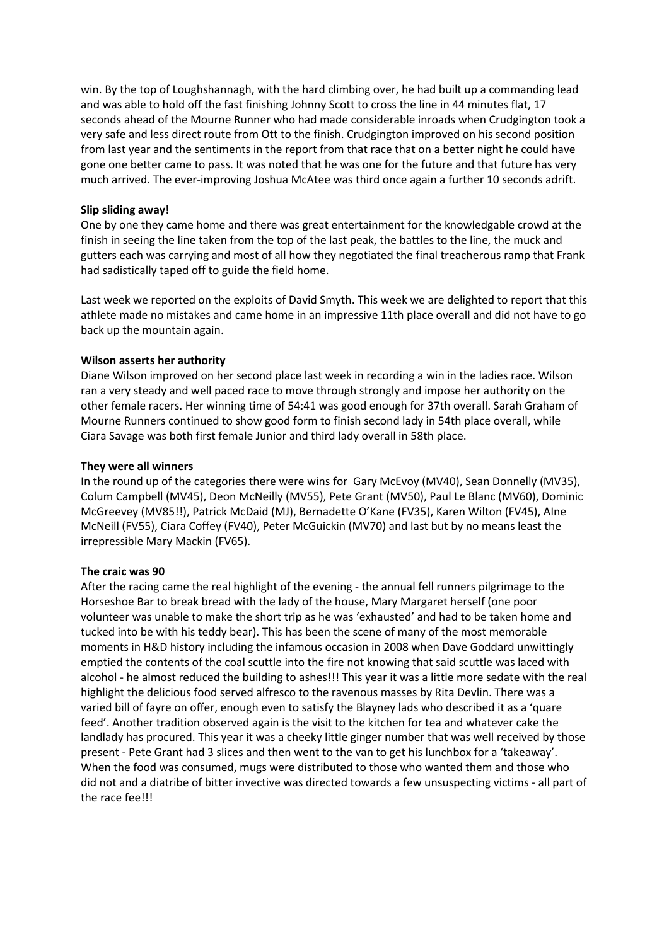win. By the top of Loughshannagh, with the hard climbing over, he had built up a commanding lead and was able to hold off the fast finishing Johnny Scott to cross the line in 44 minutes flat, 17 seconds ahead of the Mourne Runner who had made considerable inroads when Crudgington took a very safe and less direct route from Ott to the finish. Crudgington improved on his second position from last year and the sentiments in the report from that race that on a better night he could have gone one better came to pass. It was noted that he was one for the future and that future has very much arrived. The ever-improving Joshua McAtee was third once again a further 10 seconds adrift.

# **Slip sliding away!**

One by one they came home and there was great entertainment for the knowledgable crowd at the finish in seeing the line taken from the top of the last peak, the battles to the line, the muck and gutters each was carrying and most of all how they negotiated the final treacherous ramp that Frank had sadistically taped off to guide the field home.

Last week we reported on the exploits of David Smyth. This week we are delighted to report that this athlete made no mistakes and came home in an impressive 11th place overall and did not have to go back up the mountain again.

#### **Wilson asserts her authority**

Diane Wilson improved on her second place last week in recording a win in the ladies race. Wilson ran a very steady and well paced race to move through strongly and impose her authority on the other female racers. Her winning time of 54:41 was good enough for 37th overall. Sarah Graham of Mourne Runners continued to show good form to finish second lady in 54th place overall, while Ciara Savage was both first female Junior and third lady overall in 58th place.

#### **They were all winners**

In the round up of the categories there were wins for Gary McEvoy (MV40), Sean Donnelly (MV35), Colum Campbell (MV45), Deon McNeilly (MV55), Pete Grant (MV50), Paul Le Blanc (MV60), Dominic McGreevey (MV85!!), Patrick McDaid (MJ), Bernadette O'Kane (FV35), Karen Wilton (FV45), AIne McNeill (FV55), Ciara Coffey (FV40), Peter McGuickin (MV70) and last but by no means least the irrepressible Mary Mackin (FV65).

#### **The craic was 90**

After the racing came the real highlight of the evening - the annual fell runners pilgrimage to the Horseshoe Bar to break bread with the lady of the house, Mary Margaret herself (one poor volunteer was unable to make the short trip as he was 'exhausted' and had to be taken home and tucked into be with his teddy bear). This has been the scene of many of the most memorable moments in H&D history including the infamous occasion in 2008 when Dave Goddard unwittingly emptied the contents of the coal scuttle into the fire not knowing that said scuttle was laced with alcohol - he almost reduced the building to ashes!!! This year it was a little more sedate with the real highlight the delicious food served alfresco to the ravenous masses by Rita Devlin. There was a varied bill of fayre on offer, enough even to satisfy the Blayney lads who described it as a 'quare feed'. Another tradition observed again is the visit to the kitchen for tea and whatever cake the landlady has procured. This year it was a cheeky little ginger number that was well received by those present - Pete Grant had 3 slices and then went to the van to get his lunchbox for a 'takeaway'. When the food was consumed, mugs were distributed to those who wanted them and those who did not and a diatribe of bitter invective was directed towards a few unsuspecting victims - all part of the race fee!!!